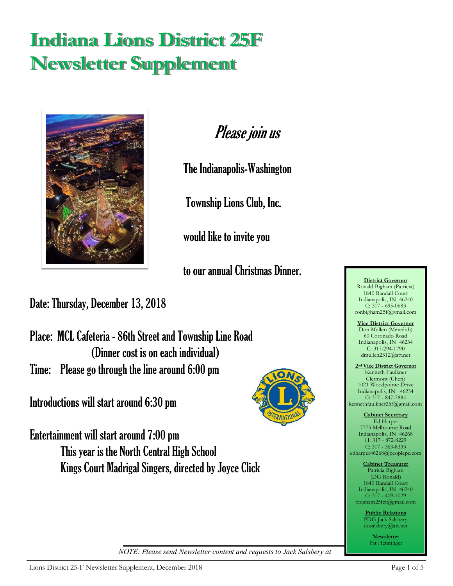# **Indiana Lions District 25F Newsletter Supplement**



Please join us

The Indianapolis-Washington

Township Lions Club, Inc.

would like to invite you

to our annual Christmas Dinner.

Date: Thursday, December 13, 2018

Place: MCL Cafeteria - 86th Street and Township Line Road (Dinner cost is on each individual) Time: Please go through the line around 6:00 pm

Introductions will start around 6:30 pm



Entertainment will start around 7:00 pm This year is the North Central High School Kings Court Madrigal Singers, directed by Joyce Click

edharper46268@peoplepc.com **Cabinet Treasurer** Patricia Bigham (DG Ronald) 1840 Randall Court Indianapolis, IN 46240 C: 317 - 409-1029 pbigham25fct@gmail.com

**Cabinet Secretary** Ed Harper 7775 Melbourne Road Indianapolis, IN 46268 H: 317 - 872-8229 C: 317 - 363-8333

**District Governor** Ronald Bigham (Patricia) 1840 Randall Court Indianapolis, IN 46240 C: 317 - 695-0683 ronbigham25f@gmail.com **Vice District Governor** Don Mullen (Meredith) 60 Coronado Road Indianapolis, IN 46234  $C: 317-294-1790$ dmullen2312@att.net **2nd Vice District Governor** Kenneth Faulkner Clermont (Cheri) 1021 Woodpointe Drive Indianapolis, IN 46234 C: 317 - 847-7884

> **Public Relations** PDG Jack Salsbery dosalsbery@att.net

> > **Newsletter** Pat Henninger

*NOTE: Please send Newsletter content and requests to Jack Salsbery at*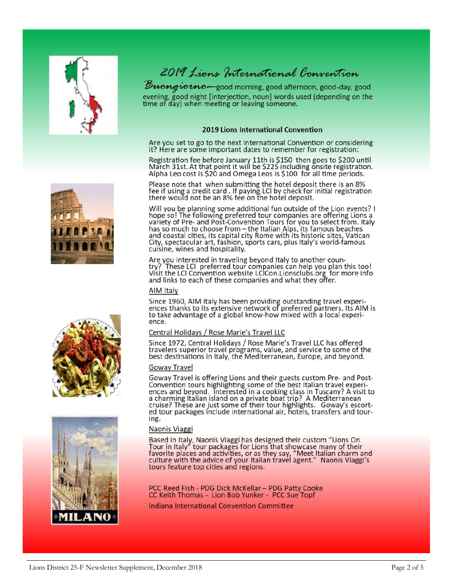



Buongionno-good morning, good afternoon, good-day, good evening, good night [interjection, noun] words used (depending on the time of day) when meeting or leaving someone.

### 2019 Lions International Convention

Are you set to go to the next International Convention or considering it? Here are some important dates to remember for registration:

Registration fee before January 11th is \$150 then goes to \$200 until<br>March 31st. At that point it will be \$225 including onsite registration. Alpha Leo cost is \$20 and Omega Leos is \$100 for all time periods.

Please note that when submitting the hotel deposit there is an 8% fee if using a credit card. If paying LCI by check for initial registration<br>there would not be an 8% fee on the hotel deposit.

Will you be planning some additional fun outside of the Lion events? I hope so! The following preferred tour companies are offering Lions a<br>variety of Pre- and Post-Convention Tours for you to select from. Italy<br>has so much to choose from – the Italian Alps, its famous beaches<br>and coastal cit City, spectacular art, fashion, sports cars, plus Italy's world-famous cuisine, wines and hospitality.

Are you interested in traveling beyond Italy to another country? These LCI preferred tour companies can help you plan this too! Visit the LCI Convention website LCICon.Lionsclubs.org for more info and links to each of these companies and what they offer.

### AIM Italy

Since 1960, AIM Italy has been providing outstanding travel experiences thanks to its extensive network of preferred partners. Its AIM is to take advantage of a global know-how mixed with a local experience.

### Central Holidays / Rose Marie's Travel LLC

Since 1972, Central Holidays / Rose Marie's Travel LLC has offered travelers superior travel programs, value, and service to some of the best destinations in Italy, the Mediterranean, Europe, and beyond.

### Goway Travel

Goway Travel is offering Lions and their guests custom Pre- and Post-Convention tours highlighting some of the best Italian travel experiences and beyond. Interested in a cooking class in Tuscany? A visit to a charming Italian island on a private boat trip? A Mediterranean cruise? These are just some of their tour highlights. Goway's escorted tour packages include international air, hotels, transfers and touring.

### Naonis Viaggi

Based in Italy, Naonis Viaggi has designed their custom "Lions On Tour in Italy" tour packages for Lions that showcase many of their favorite places and activities, or as they say, "Meet Italian charm and culture with the tours feature top cities and regions.

PCC Reed Fish - PDG Dick McKellar - PDG Patty Cooke<br>CC Keith Thomas - Lion Bob Yunker - PCC Sue Topf

Indiana International Convention Committee





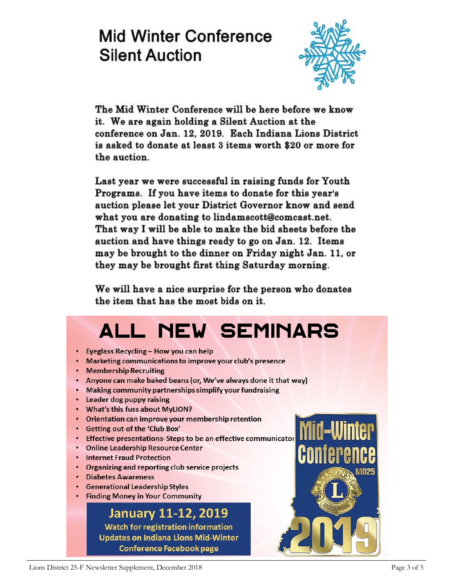# **Mid Winter Conference Silent Auction**



The Mid Winter Conference will be here before we know it. We are again holding a Silent Auction at the conference on Jan. 12, 2019. Each Indiana Lions District is asked to donate at least 3 items worth \$20 or more for the auction.

Last year we were successful in raising funds for Youth Programs. If you have items to donate for this year's auction please let your District Governor know and send what you are donating to lindamscott@comcast.net. That way I will be able to make the bid sheets before the auction and have things ready to go on Jan. 12. Items may be brought to the dinner on Friday night Jan. 11, or they may be brought first thing Saturday morning.

We will have a nice surprise for the person who donates the item that has the most bids on it.

# **ALL NEW SEMINARS**

- Eyeglass Recycling How you can help
- Marketing communications to improve your club's presence
- Membership Recruiting
- Anyone can make baked beans (or, We've always done it that way)
- Making community partnerships simplify your fundraising
- Leader dog puppy raising
- What's this fuss about MyLION?
- Orientation can improve your membership retention
- Getting out of the 'Club Box'
- Effective presentations-Steps to be an effective communicator
- Online Leadership Resource Center
- Internet Fraud Protection
- Organizing and reporting club service projects
- Diabetes Awareness
- Generational Leadership Styles
- Finding Money in Your Community

# **January 11-12, 2019**

**Watch for registration information Updates on Indiana Lions Mid-Winter Conference Facebook page** 

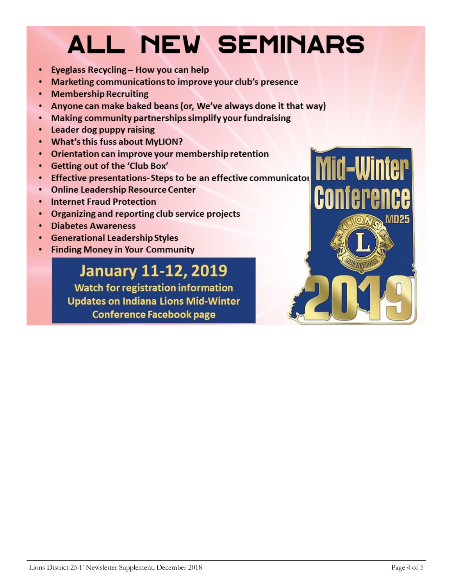# **ALL NEW SEMINARS**

- Eyeglass Recycling How you can help
- Marketing communications to improve your club's presence  $\bullet$
- **Membership Recruiting**
- Anyone can make baked beans (or, We've always done it that way)  $\bullet$
- Making community partnerships simplify your fundraising  $\bullet$
- Leader dog puppy raising  $\bullet$
- What's this fuss about MyLION?  $\bullet$
- Orientation can improve your membership retention  $\bullet$
- Getting out of the 'Club Box'  $\bullet$
- Effective presentations-Steps to be an effective communicator  $\bullet$
- **Online Leadership Resource Center**  $\bullet$
- **Internet Fraud Protection**  $\bullet$
- Organizing and reporting club service projects  $\bullet$
- **Diabetes Awareness**  $\bullet$
- **Generational Leadership Styles**  $\bullet$
- **Finding Money in Your Community**  $\bullet$

# **January 11-12, 2019**

**Watch for registration information Updates on Indiana Lions Mid-Winter Conference Facebook page**